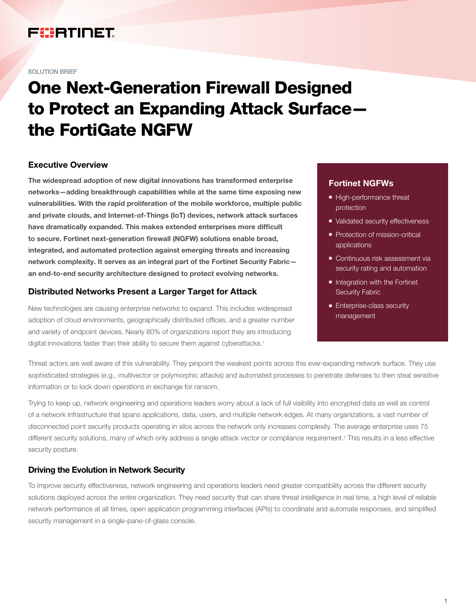## FURTINET

#### SOLUTION BRIEF

# One Next-Generation Firewall Designed to Protect an Expanding Attack Surface the FortiGate NGFW

#### Executive Overview

The widespread adoption of new digital innovations has transformed enterprise networks—adding breakthrough capabilities while at the same time exposing new vulnerabilities. With the rapid proliferation of the mobile workforce, multiple public and private clouds, and Internet-of-Things (IoT) devices, network attack surfaces have dramatically expanded. This makes extended enterprises more difficult to secure. Fortinet next-generation firewall (NGFW) solutions enable broad, integrated, and automated protection against emerging threats and increasing network complexity. It serves as an integral part of the Fortinet Security Fabric an end-to-end security architecture designed to protect evolving networks.

#### Distributed Networks Present a Larger Target for Attack

New technologies are causing enterprise networks to expand. This includes widespread adoption of cloud environments, geographically distributed offices, and a greater number and variety of endpoint devices. Nearly 80% of organizations report they are introducing digital innovations faster than their ability to secure them against cyberattacks.<sup>1</sup>

#### Fortinet NGFWs

- High-performance threat protection
- Validated security effectiveness
- Protection of mission-critical applications
- Continuous risk assessment via security rating and automation
- **n** Integration with the Fortinet Security Fabric
- **Enterprise-class security** management

Threat actors are well aware of this vulnerability. They pinpoint the weakest points across this ever-expanding network surface. They use sophisticated strategies (e.g., multivector or polymorphic attacks) and automated processes to penetrate defenses to then steal sensitive information or to lock down operations in exchange for ransom.

Trying to keep up, network engineering and operations leaders worry about a lack of full visibility into encrypted data as well as control of a network infrastructure that spans applications, data, users, and multiple network edges. At many organizations, a vast number of disconnected point security products operating in silos across the network only increases complexity. The average enterprise uses 75 different security solutions, many of which only address a single attack vector or compliance requirement.<sup>2</sup> This results in a less effective security posture.

#### Driving the Evolution in Network Security

To improve security effectiveness, network engineering and operations leaders need greater compatibility across the different security solutions deployed across the entire organization. They need security that can share threat intelligence in real time, a high level of reliable network performance at all times, open application programming interfaces (APIs) to coordinate and automate responses, and simplified security management in a single-pane-of-glass console.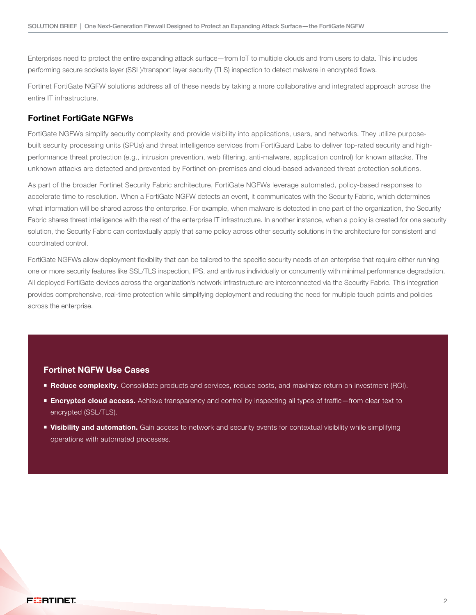Enterprises need to protect the entire expanding attack surface—from IoT to multiple clouds and from users to data. This includes performing secure sockets layer (SSL)/transport layer security (TLS) inspection to detect malware in encrypted flows.

Fortinet FortiGate NGFW solutions address all of these needs by taking a more collaborative and integrated approach across the entire IT infrastructure.

#### Fortinet FortiGate NGFWs

FortiGate NGFWs simplify security complexity and provide visibility into applications, users, and networks. They utilize purposebuilt security processing units (SPUs) and threat intelligence services from FortiGuard Labs to deliver top-rated security and highperformance threat protection (e.g., intrusion prevention, web filtering, anti-malware, application control) for known attacks. The unknown attacks are detected and prevented by Fortinet on-premises and cloud-based advanced threat protection solutions.

As part of the broader Fortinet Security Fabric architecture, FortiGate NGFWs leverage automated, policy-based responses to accelerate time to resolution. When a FortiGate NGFW detects an event, it communicates with the Security Fabric, which determines what information will be shared across the enterprise. For example, when malware is detected in one part of the organization, the Security Fabric shares threat intelligence with the rest of the enterprise IT infrastructure. In another instance, when a policy is created for one security solution, the Security Fabric can contextually apply that same policy across other security solutions in the architecture for consistent and coordinated control.

FortiGate NGFWs allow deployment flexibility that can be tailored to the specific security needs of an enterprise that require either running one or more security features like SSL/TLS inspection, IPS, and antivirus individually or concurrently with minimal performance degradation. All deployed FortiGate devices across the organization's network infrastructure are interconnected via the Security Fabric. This integration provides comprehensive, real-time protection while simplifying deployment and reducing the need for multiple touch points and policies across the enterprise.

#### Fortinet NGFW Use Cases

- **Reduce complexity.** Consolidate products and services, reduce costs, and maximize return on investment (ROI).
- Encrypted cloud access. Achieve transparency and control by inspecting all types of traffic–from clear text to encrypted (SSL/TLS).
- **visibility and automation.** Gain access to network and security events for contextual visibility while simplifying operations with automated processes.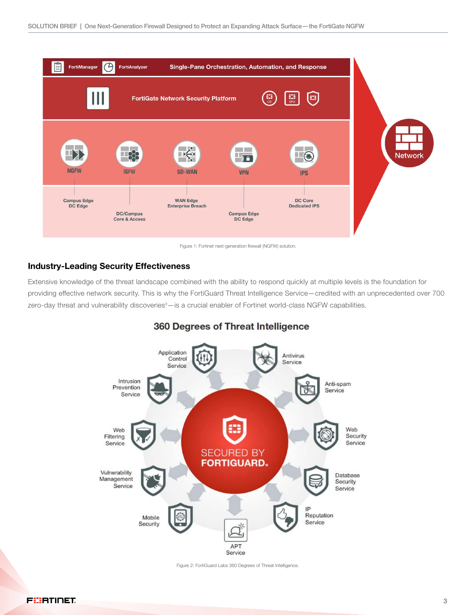

Figure 1: Fortinet next-generation firewall (NGFW) solution.

#### Industry-Leading Security Effectiveness

Extensive knowledge of the threat landscape combined with the ability to respond quickly at multiple levels is the foundation for providing effective network security. This is why the FortiGuard Threat Intelligence Service—credited with an unprecedented over 700 zero-day threat and vulnerability discoveries<sup>3</sup>—is a crucial enabler of Fortinet world-class NGFW capabilities.



### 360 Degrees of Threat Intelligence

Figure 2: FortiGuard Labs 360 Degrees of Threat Intelligence.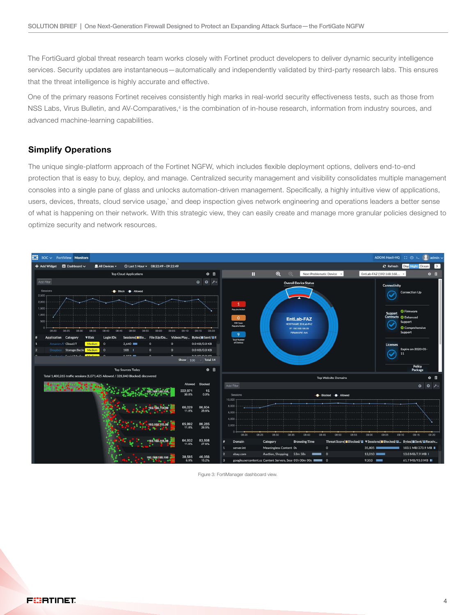The FortiGuard global threat research team works closely with Fortinet product developers to deliver dynamic security intelligence services. Security updates are instantaneous—automatically and independently validated by third-party research labs. This ensures that the threat intelligence is highly accurate and effective.

One of the primary reasons Fortinet receives consistently high marks in real-world security effectiveness tests, such as those from NSS Labs, Virus Bulletin, and AV-Comparatives,<sup>4</sup> is the combination of in-house research, information from industry sources, and advanced machine-learning capabilities.

#### Simplify Operations

The unique single-platform approach of the Fortinet NGFW, which includes flexible deployment options, delivers end-to-end protection that is easy to buy, deploy, and manage. Centralized security management and visibility consolidates multiple management consoles into a single pane of glass and unlocks automation-driven management. Specifically, a highly intuitive view of applications, users, devices, threats, cloud service usage,` and deep inspection gives network engineering and operations leaders a better sense of what is happening on their network. With this strategic view, they can easily create and manage more granular policies designed to optimize security and network resources.



Figure 3: FortiManager dashboard view.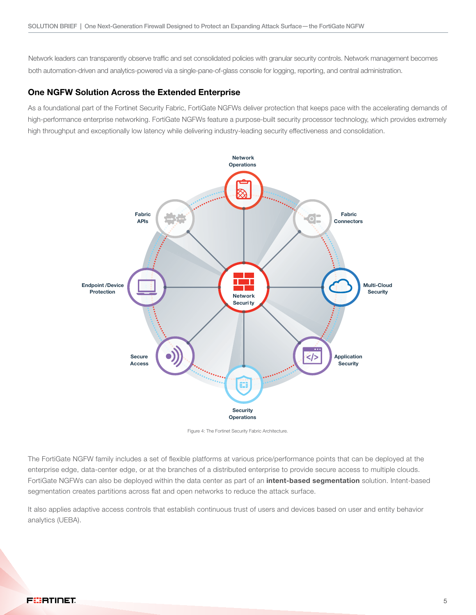Network leaders can transparently observe traffic and set consolidated policies with granular security controls. Network management becomes both automation-driven and analytics-powered via a single-pane-of-glass console for logging, reporting, and central administration.

#### One NGFW Solution Across the Extended Enterprise

As a foundational part of the Fortinet Security Fabric, FortiGate NGFWs deliver protection that keeps pace with the accelerating demands of high-performance enterprise networking. FortiGate NGFWs feature a purpose-built security processor technology, which provides extremely high throughput and exceptionally low latency while delivering industry-leading security effectiveness and consolidation.



Figure 4: The Fortinet Security Fabric Architecture.

The FortiGate NGFW family includes a set of flexible platforms at various price/performance points that can be deployed at the enterprise edge, data-center edge, or at the branches of a distributed enterprise to provide secure access to multiple clouds. FortiGate NGFWs can also be deployed within the data center as part of an *intent-based segmentation* solution. Intent-based segmentation creates partitions across flat and open networks to reduce the attack surface.

It also applies adaptive access controls that establish continuous trust of users and devices based on user and entity behavior analytics (UEBA).